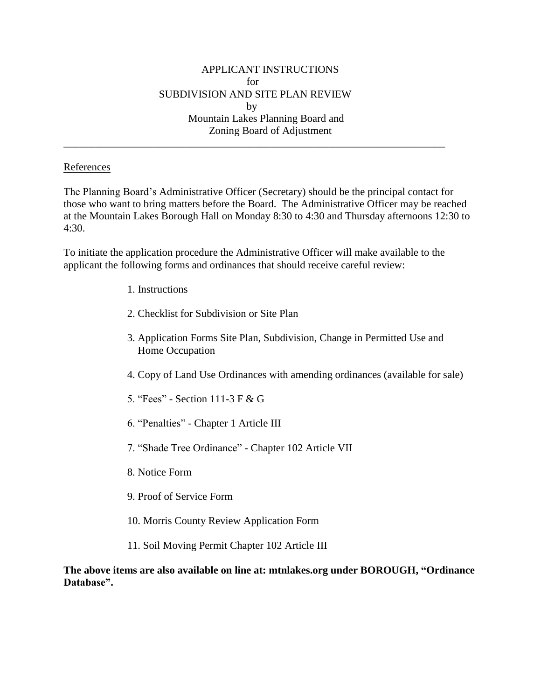\_\_\_\_\_\_\_\_\_\_\_\_\_\_\_\_\_\_\_\_\_\_\_\_\_\_\_\_\_\_\_\_\_\_\_\_\_\_\_\_\_\_\_\_\_\_\_\_\_\_\_\_\_\_\_\_\_\_\_\_\_\_\_\_\_\_\_\_\_\_\_\_

## References

The Planning Board's Administrative Officer (Secretary) should be the principal contact for those who want to bring matters before the Board. The Administrative Officer may be reached at the Mountain Lakes Borough Hall on Monday 8:30 to 4:30 and Thursday afternoons 12:30 to 4:30.

To initiate the application procedure the Administrative Officer will make available to the applicant the following forms and ordinances that should receive careful review:

- 1. Instructions
- 2. Checklist for Subdivision or Site Plan
- 3. Application Forms Site Plan, Subdivision, Change in Permitted Use and Home Occupation
- 4. Copy of Land Use Ordinances with amending ordinances (available for sale)
- 5. "Fees" Section 111-3 F & G
- 6. "Penalties" Chapter 1 Article III
- 7. "Shade Tree Ordinance" Chapter 102 Article VII
- 8. Notice Form
- 9. Proof of Service Form
- 10. Morris County Review Application Form
- 11. Soil Moving Permit Chapter 102 Article III

**The above items are also available on line at: mtnlakes.org under BOROUGH, "Ordinance Database".**